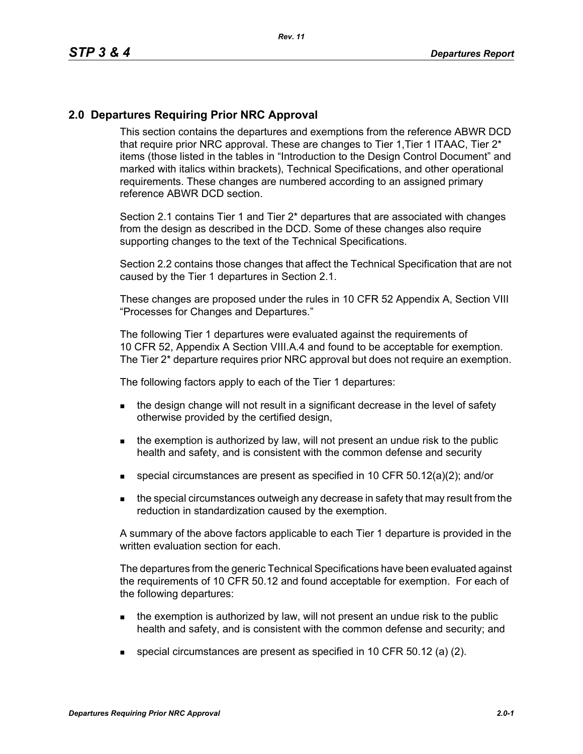## **2.0 Departures Requiring Prior NRC Approval**

This section contains the departures and exemptions from the reference ABWR DCD that require prior NRC approval. These are changes to Tier 1, Tier 1 ITAAC, Tier 2<sup>\*</sup> items (those listed in the tables in "Introduction to the Design Control Document" and marked with italics within brackets), Technical Specifications, and other operational requirements. These changes are numbered according to an assigned primary reference ABWR DCD section.

Section 2.1 contains Tier 1 and Tier 2\* departures that are associated with changes from the design as described in the DCD. Some of these changes also require supporting changes to the text of the Technical Specifications.

Section 2.2 contains those changes that affect the Technical Specification that are not caused by the Tier 1 departures in Section 2.1.

These changes are proposed under the rules in 10 CFR 52 Appendix A, Section VIII "Processes for Changes and Departures."

The following Tier 1 departures were evaluated against the requirements of 10 CFR 52, Appendix A Section VIII.A.4 and found to be acceptable for exemption. The Tier 2\* departure requires prior NRC approval but does not require an exemption.

The following factors apply to each of the Tier 1 departures:

- the design change will not result in a significant decrease in the level of safety otherwise provided by the certified design,
- $\blacksquare$  the exemption is authorized by law, will not present an undue risk to the public health and safety, and is consistent with the common defense and security
- special circumstances are present as specified in 10 CFR 50.12(a)(2); and/or
- **the special circumstances outweigh any decrease in safety that may result from the** reduction in standardization caused by the exemption.

A summary of the above factors applicable to each Tier 1 departure is provided in the written evaluation section for each.

The departures from the generic Technical Specifications have been evaluated against the requirements of 10 CFR 50.12 and found acceptable for exemption. For each of the following departures:

- $\blacksquare$  the exemption is authorized by law, will not present an undue risk to the public health and safety, and is consistent with the common defense and security; and
- special circumstances are present as specified in 10 CFR 50.12 (a) (2).